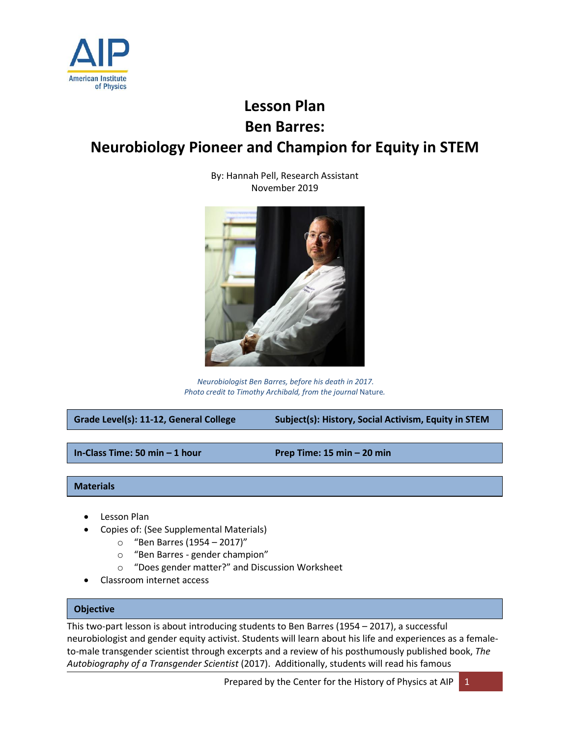

# **Lesson Plan Ben Barres: Neurobiology Pioneer and Champion for Equity in STEM**

By: Hannah Pell, Research Assistant November 2019



*Neurobiologist Ben Barres, before his death in 2017. Photo credit to Timothy Archibald, from the journal* Nature*.* 

**Grade Level(s): 11-12, General College Subject(s): History, Social Activism, Equity in STEM**

**In-Class Time: 50 min – 1 hour Prep Time: 15 min – 20 min**

# **Materials**

- Lesson Plan
- Copies of: (See Supplemental Materials)
	- o "Ben Barres (1954 2017)"
	- o "Ben Barres gender champion"
	- o "Does gender matter?" and Discussion Worksheet
- Classroom internet access

# **Objective**

This two-part lesson is about introducing students to Ben Barres (1954 – 2017), a successful neurobiologist and gender equity activist. Students will learn about his life and experiences as a femaleto-male transgender scientist through excerpts and a review of his posthumously published book, *The Autobiography of a Transgender Scientist* (2017). Additionally, students will read his famous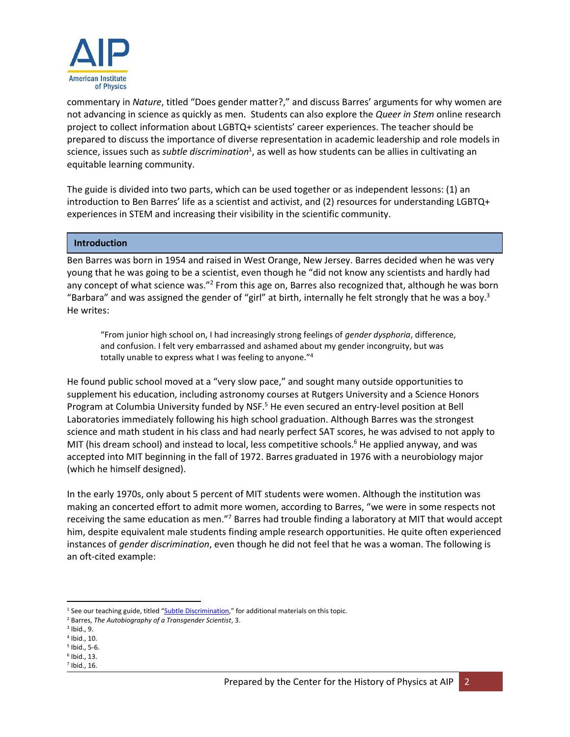

commentary in *Nature*, titled "Does gender matter?," and discuss Barres' arguments for why women are not advancing in science as quickly as men. Students can also explore the *Queer in Stem* online research project to collect information about LGBTQ+ scientists' career experiences. The teacher should be prepared to discuss the importance of diverse representation in academic leadership and role models in science, issues such as *subtle discrimination<sup>1</sup>*, as well as how students can be allies in cultivating an equitable learning community.

The guide is divided into two parts, which can be used together or as independent lessons: (1) an introduction to Ben Barres' life as a scientist and activist, and (2) resources for understanding LGBTQ+ experiences in STEM and increasing their visibility in the scientific community.

## **Introduction**

Ben Barres was born in 1954 and raised in West Orange, New Jersey. Barres decided when he was very young that he was going to be a scientist, even though he "did not know any scientists and hardly had any concept of what science was."<sup>2</sup> From this age on, Barres also recognized that, although he was born "Barbara" and was assigned the gender of "girl" at birth, internally he felt strongly that he was a boy.<sup>3</sup> He writes:

"From junior high school on, I had increasingly strong feelings of *gender dysphoria*, difference, and confusion. I felt very embarrassed and ashamed about my gender incongruity, but was totally unable to express what I was feeling to anyone."<sup>4</sup>

He found public school moved at a "very slow pace," and sought many outside opportunities to supplement his education, including astronomy courses at Rutgers University and a Science Honors Program at Columbia University funded by NSF.<sup>5</sup> He even secured an entry-level position at Bell Laboratories immediately following his high school graduation. Although Barres was the strongest science and math student in his class and had nearly perfect SAT scores, he was advised to not apply to MIT (his dream school) and instead to local, less competitive schools.<sup>6</sup> He applied anyway, and was accepted into MIT beginning in the fall of 1972. Barres graduated in 1976 with a neurobiology major (which he himself designed).

In the early 1970s, only about 5 percent of MIT students were women. Although the institution was making an concerted effort to admit more women, according to Barres, "we were in some respects not receiving the same education as men."<sup>7</sup> Barres had trouble finding a laboratory at MIT that would accept him, despite equivalent male students finding ample research opportunities. He quite often experienced instances of *gender discrimination*, even though he did not feel that he was a woman. The following is an oft-cited example:

 $\overline{a}$ <sup>1</sup> See our teaching guide, titled "[Subtle Discrimination,](https://www.aip.org/sites/default/files/history/teaching-guides/subtle-discrimination/Subtle%20Discrimination_Lesson%20Plan.pdf)" for additional materials on this topic.

<sup>2</sup> Barres, *The Autobiography of a Transgender Scientist*, 3.

<sup>3</sup> Ibid., 9.

<sup>4</sup> Ibid., 10.

<sup>5</sup> Ibid., 5-6. 6 Ibid., 13.

<sup>7</sup> Ibid., 16.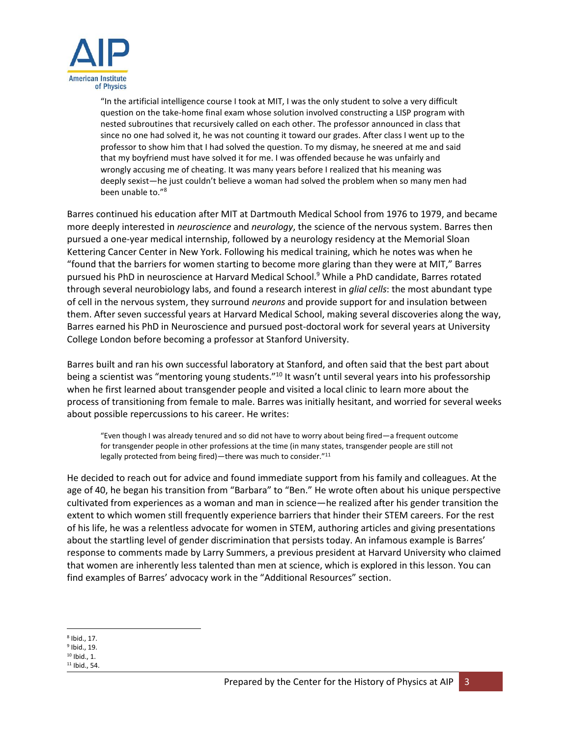

"In the artificial intelligence course I took at MIT, I was the only student to solve a very difficult question on the take-home final exam whose solution involved constructing a LISP program with nested subroutines that recursively called on each other. The professor announced in class that since no one had solved it, he was not counting it toward our grades. After class I went up to the professor to show him that I had solved the question. To my dismay, he sneered at me and said that my boyfriend must have solved it for me. I was offended because he was unfairly and wrongly accusing me of cheating. It was many years before I realized that his meaning was deeply sexist—he just couldn't believe a woman had solved the problem when so many men had been unable to."<sup>8</sup>

Barres continued his education after MIT at Dartmouth Medical School from 1976 to 1979, and became more deeply interested in *neuroscience* and *neurology*, the science of the nervous system. Barres then pursued a one-year medical internship, followed by a neurology residency at the Memorial Sloan Kettering Cancer Center in New York. Following his medical training, which he notes was when he "found that the barriers for women starting to become more glaring than they were at MIT," Barres pursued his PhD in neuroscience at Harvard Medical School.<sup>9</sup> While a PhD candidate, Barres rotated through several neurobiology labs, and found a research interest in *glial cells*: the most abundant type of cell in the nervous system, they surround *neurons* and provide support for and insulation between them. After seven successful years at Harvard Medical School, making several discoveries along the way, Barres earned his PhD in Neuroscience and pursued post-doctoral work for several years at University College London before becoming a professor at Stanford University.

Barres built and ran his own successful laboratory at Stanford, and often said that the best part about being a scientist was "mentoring young students."<sup>10</sup> It wasn't until several years into his professorship when he first learned about transgender people and visited a local clinic to learn more about the process of transitioning from female to male. Barres was initially hesitant, and worried for several weeks about possible repercussions to his career. He writes:

"Even though I was already tenured and so did not have to worry about being fired—a frequent outcome for transgender people in other professions at the time (in many states, transgender people are still not legally protected from being fired)—there was much to consider."<sup>11</sup>

He decided to reach out for advice and found immediate support from his family and colleagues. At the age of 40, he began his transition from "Barbara" to "Ben." He wrote often about his unique perspective cultivated from experiences as a woman and man in science—he realized after his gender transition the extent to which women still frequently experience barriers that hinder their STEM careers. For the rest of his life, he was a relentless advocate for women in STEM, authoring articles and giving presentations about the startling level of gender discrimination that persists today. An infamous example is Barres' response to comments made by Larry Summers, a previous president at Harvard University who claimed that women are inherently less talented than men at science, which is explored in this lesson. You can find examples of Barres' advocacy work in the "Additional Resources" section.

l 8 Ibid., 17.

<sup>9</sup> Ibid., 19.

<sup>10</sup> Ibid., 1.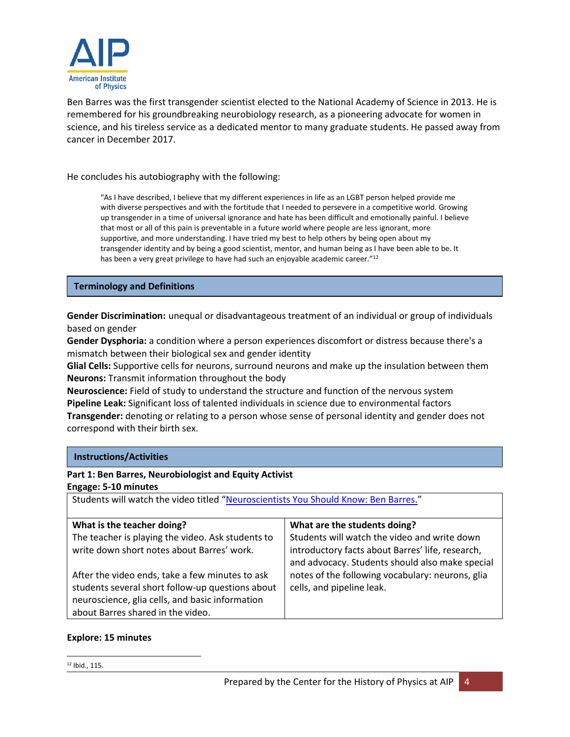

Ben Barres was the first transgender scientist elected to the National Academy of Science in 2013. He is remembered for his groundbreaking neurobiology research, as a pioneering advocate for women in science, and his tireless service as a dedicated mentor to many graduate students. He passed away from cancer in December 2017.

He concludes his autobiography with the following:

"As I have described, I believe that my different experiences in life as an LGBT person helped provide me with diverse perspectives and with the fortitude that I needed to persevere in a competitive world. Growing up transgender in a time of universal ignorance and hate has been difficult and emotionally painful. I believe that most or all of this pain is preventable in a future world where people are less ignorant, more supportive, and more understanding. I have tried my best to help others by being open about my transgender identity and by being a good scientist, mentor, and human being as I have been able to be. It has been a very great privilege to have had such an enjoyable academic career."<sup>12</sup>

# **Terminology and Definitions**

**Gender Discrimination:** unequal or disadvantageous treatment of an individual or group of individuals based on gender

**Gender Dysphoria:** a condition where a person experiences discomfort or distress because there's a mismatch between their biological sex and gender identity

**Glial Cells:** Supportive cells for neurons, surround neurons and make up the insulation between them **Neurons:** Transmit information throughout the body

**Neuroscience:** Field of study to understand the structure and function of the nervous system **Pipeline Leak:** Significant loss of talented individuals in science due to environmental factors **Transgender:** denoting or relating to a person whose sense of personal identity and gender does not correspond with their birth sex.

| Part 1: Ben Barres, Neurobiologist and Equity Activist                                                                                                                                      |                                                                                                                                                     |                            |
|---------------------------------------------------------------------------------------------------------------------------------------------------------------------------------------------|-----------------------------------------------------------------------------------------------------------------------------------------------------|----------------------------|
| Engage: 5-10 minutes                                                                                                                                                                        |                                                                                                                                                     |                            |
| Students will watch the video titled "Neuroscientists You Should Know: Ben Barres."                                                                                                         |                                                                                                                                                     |                            |
|                                                                                                                                                                                             |                                                                                                                                                     | What is the teacher doing? |
| The teacher is playing the video. Ask students to<br>write down short notes about Barres' work.                                                                                             | Students will watch the video and write down<br>introductory facts about Barres' life, research,<br>and advocacy. Students should also make special |                            |
| After the video ends, take a few minutes to ask<br>students several short follow-up questions about<br>neuroscience, glia cells, and basic information<br>about Barres shared in the video. | notes of the following vocabulary: neurons, glia<br>cells, and pipeline leak.                                                                       |                            |

# **Explore: 15 minutes**

**Instructions/Activities**

 $\overline{\phantom{a}}$ <sup>12</sup> Ibid., 115.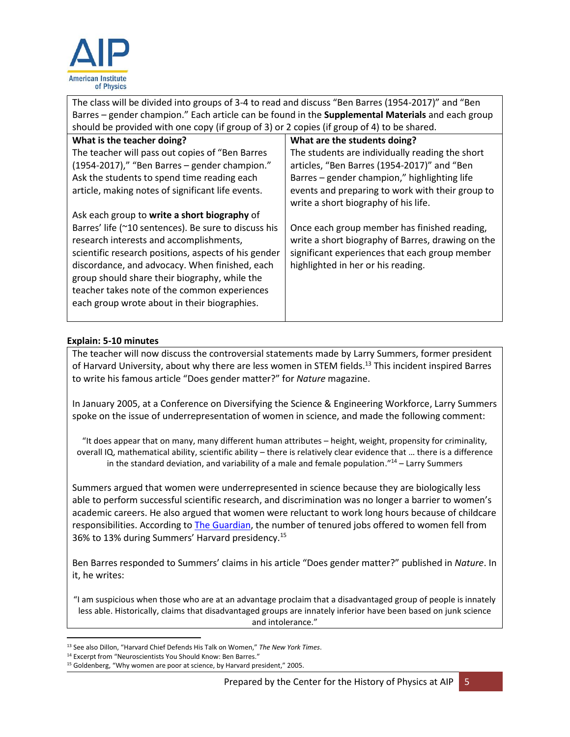

The class will be divided into groups of 3-4 to read and discuss "Ben Barres (1954-2017)" and "Ben Barres – gender champion." Each article can be found in the **Supplemental Materials** and each group should be provided with one copy (if group of 3) or 2 copies (if group of 4) to be shared. **What is the teacher doing?** The teacher will pass out copies of "Ben Barres (1954-2017)," "Ben Barres – gender champion." Ask the students to spend time reading each article, making notes of significant life events. Ask each group to **write a short biography** of Barres' life (~10 sentences). Be sure to discuss his research interests and accomplishments, scientific research positions, aspects of his gender discordance, and advocacy. When finished, each group should share their biography, while the teacher takes note of the common experiences each group wrote about in their biographies. **What are the students doing?** The students are individually reading the short articles, "Ben Barres (1954-2017)" and "Ben Barres – gender champion," highlighting life events and preparing to work with their group to write a short biography of his life. Once each group member has finished reading, write a short biography of Barres, drawing on the significant experiences that each group member highlighted in her or his reading.

# **Explain: 5-10 minutes**

The teacher will now discuss the controversial statements made by Larry Summers, former president of Harvard University, about why there are less women in STEM fields.<sup>13</sup> This incident inspired Barres to write his famous article "Does gender matter?" for *Nature* magazine.

In January 2005, at a Conference on Diversifying the Science & Engineering Workforce, Larry Summers spoke on the issue of underrepresentation of women in science, and made the following comment:

"It does appear that on many, many different human attributes – height, weight, propensity for criminality, overall IQ, mathematical ability, scientific ability – there is relatively clear evidence that … there is a difference in the standard deviation, and variability of a male and female population. $"^{14}$  – Larry Summers

Summers argued that women were underrepresented in science because they are biologically less able to perform successful scientific research, and discrimination was no longer a barrier to women's academic careers. He also argued that women were reluctant to work long hours because of childcare responsibilities. According to [The Guardian,](https://www.theguardian.com/science/2005/jan/18/educationsgendergap.genderissues) the number of tenured jobs offered to women fell from 36% to 13% during Summers' Harvard presidency.<sup>15</sup>

Ben Barres responded to Summers' claims in his article "Does gender matter?" published in *Nature*. In it, he writes:

"I am suspicious when those who are at an advantage proclaim that a disadvantaged group of people is innately less able. Historically, claims that disadvantaged groups are innately inferior have been based on junk science and intolerance."

 $\overline{\phantom{a}}$ <sup>13</sup> See also Dillon, "Harvard Chief Defends His Talk on Women," *The New York Times*.

<sup>&</sup>lt;sup>14</sup> Excerpt from "Neuroscientists You Should Know: Ben Barres."

<sup>15</sup> Goldenberg, "Why women are poor at science, by Harvard president," 2005.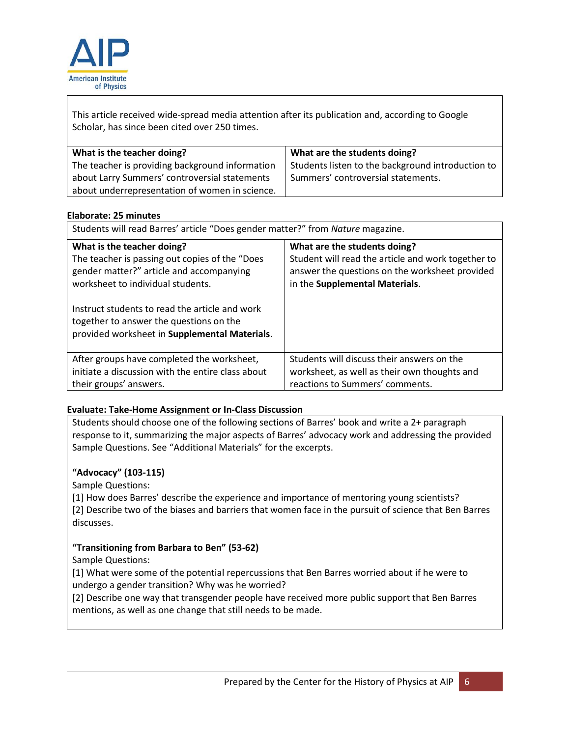

This article received wide-spread media attention after its publication and, according to Google Scholar, has since been cited over 250 times.

| What is the teacher doing?                      | What are the students doing?                      |
|-------------------------------------------------|---------------------------------------------------|
| The teacher is providing background information | Students listen to the background introduction to |
| about Larry Summers' controversial statements   | Summers' controversial statements.                |
| about underrepresentation of women in science.  |                                                   |

# **Elaborate: 25 minutes**

| Students will read Barres' article "Does gender matter?" from Nature magazine.                                                                                                                                                                                                                              |                                                                                                                                                                        |
|-------------------------------------------------------------------------------------------------------------------------------------------------------------------------------------------------------------------------------------------------------------------------------------------------------------|------------------------------------------------------------------------------------------------------------------------------------------------------------------------|
| What is the teacher doing?<br>The teacher is passing out copies of the "Does<br>gender matter?" article and accompanying<br>worksheet to individual students.<br>Instruct students to read the article and work<br>together to answer the questions on the<br>provided worksheet in Supplemental Materials. | What are the students doing?<br>Student will read the article and work together to<br>answer the questions on the worksheet provided<br>in the Supplemental Materials. |
| After groups have completed the worksheet,<br>initiate a discussion with the entire class about<br>their groups' answers.                                                                                                                                                                                   | Students will discuss their answers on the<br>worksheet, as well as their own thoughts and<br>reactions to Summers' comments.                                          |

# **Evaluate: Take-Home Assignment or In-Class Discussion**

Students should choose one of the following sections of Barres' book and write a 2+ paragraph response to it, summarizing the major aspects of Barres' advocacy work and addressing the provided Sample Questions. See "Additional Materials" for the excerpts.

# **"Advocacy" (103-115)**

Sample Questions:

[1] How does Barres' describe the experience and importance of mentoring young scientists? [2] Describe two of the biases and barriers that women face in the pursuit of science that Ben Barres discusses.

# **"Transitioning from Barbara to Ben" (53-62)**

Sample Questions:

[1] What were some of the potential repercussions that Ben Barres worried about if he were to undergo a gender transition? Why was he worried?

[2] Describe one way that transgender people have received more public support that Ben Barres mentions, as well as one change that still needs to be made.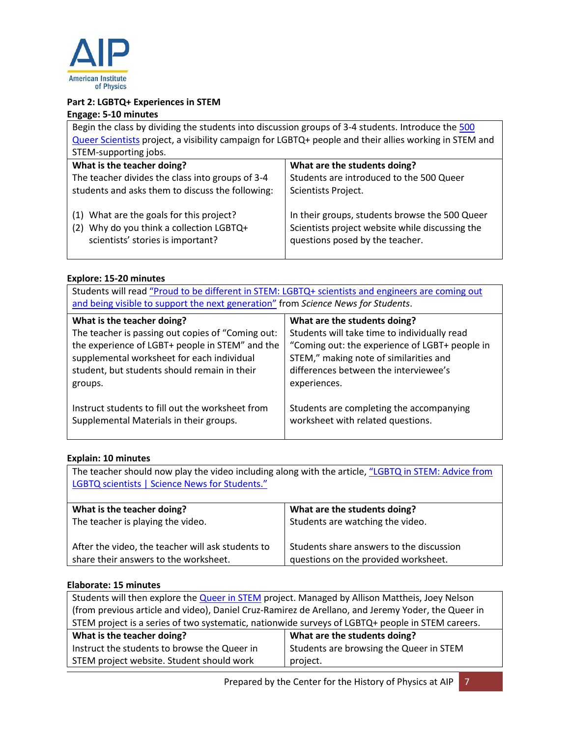

# **Part 2: LGBTQ+ Experiences in STEM**

# **Engage: 5-10 minutes**

| Begin the class by dividing the students into discussion groups of 3-4 students. Introduce the 500                           |                                                                                                                                      |  |
|------------------------------------------------------------------------------------------------------------------------------|--------------------------------------------------------------------------------------------------------------------------------------|--|
| Queer Scientists project, a visibility campaign for LGBTQ+ people and their allies working in STEM and                       |                                                                                                                                      |  |
| STEM-supporting jobs.                                                                                                        |                                                                                                                                      |  |
| What is the teacher doing?                                                                                                   | What are the students doing?                                                                                                         |  |
| The teacher divides the class into groups of 3-4                                                                             | Students are introduced to the 500 Queer                                                                                             |  |
| students and asks them to discuss the following:                                                                             | Scientists Project.                                                                                                                  |  |
| (1) What are the goals for this project?<br>Why do you think a collection LGBTQ+<br>(2)<br>scientists' stories is important? | In their groups, students browse the 500 Queer<br>Scientists project website while discussing the<br>questions posed by the teacher. |  |

# **Explore: 15-20 minutes**

| Students will read "Proud to be different in STEM: LGBTQ+ scientists and engineers are coming out<br>and being visible to support the next generation" from Science News for Students. |                                                |
|----------------------------------------------------------------------------------------------------------------------------------------------------------------------------------------|------------------------------------------------|
| What is the teacher doing?                                                                                                                                                             | What are the students doing?                   |
| The teacher is passing out copies of "Coming out:                                                                                                                                      | Students will take time to individually read   |
| the experience of LGBT+ people in STEM" and the                                                                                                                                        | "Coming out: the experience of LGBT+ people in |
| supplemental worksheet for each individual                                                                                                                                             | STEM," making note of similarities and         |
| student, but students should remain in their                                                                                                                                           | differences between the interviewee's          |
| groups.                                                                                                                                                                                | experiences.                                   |
| Instruct students to fill out the worksheet from                                                                                                                                       | Students are completing the accompanying       |
| Supplemental Materials in their groups.                                                                                                                                                | worksheet with related questions.              |

# **Explain: 10 minutes**

The teacher should now play the video including along with the article, "LGBTQ in STEM: Advice from [LGBTQ scientists | Science News for Students."](https://www.youtube.com/watch?time_continue=24&v=e_HHGFHBGpc&feature=emb_logo)

| What is the teacher doing?                        | What are the students doing?             |
|---------------------------------------------------|------------------------------------------|
| The teacher is playing the video.                 | Students are watching the video.         |
| After the video, the teacher will ask students to | Students share answers to the discussion |
| share their answers to the worksheet.             | questions on the provided worksheet.     |

# **Elaborate: 15 minutes**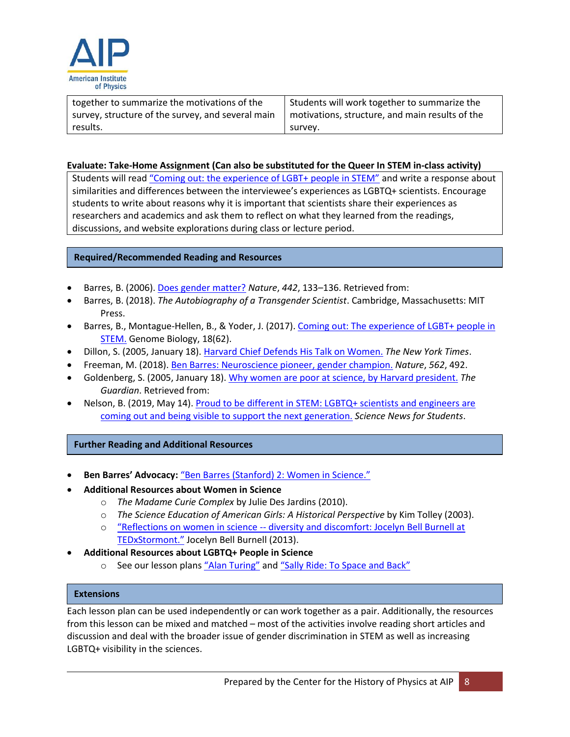

| together to summarize the motivations of the      | Students will work together to summarize the    |
|---------------------------------------------------|-------------------------------------------------|
| survey, structure of the survey, and several main | motivations, structure, and main results of the |
| results.                                          | survev.                                         |

## **Evaluate: Take-Home Assignment (Can also be substituted for the Queer In STEM in-class activity)**

Students will read ["Coming out: the experience of LGBT+ people in STEM"](https://genomebiology.biomedcentral.com/articles/10.1186/s13059-017-1198-y) and write a response about similarities and differences between the interviewee's experiences as LGBTQ+ scientists. Encourage students to write about reasons why it is important that scientists share their experiences as researchers and academics and ask them to reflect on what they learned from the readings, discussions, and website explorations during class or lecture period.

# **Required/Recommended Reading and Resources**

- Barres, B. (2006)[. Does gender matter?](https://www.nature.com/articles/442133a) *Nature*, *442*, 133–136. Retrieved from:
- Barres, B. (2018). *The Autobiography of a Transgender Scientist*. Cambridge, Massachusetts: MIT Press.
- Barres, B., Montague-Hellen, B., & Yoder, J. (2017). [Coming out: The experience of LGBT+ people in](https://doi.org/10.1186/s13059-017-1198-y)  [STEM.](https://doi.org/10.1186/s13059-017-1198-y) Genome Biology, 18(62).
- Dillon, S. (2005, January 18). [Harvard Chief Defends His Talk on Women.](https://www.nytimes.com/2005/01/18/us/harvard-chief-defends-his-talk-on-women.html) *The New York Times*.
- Freeman, M. (2018). [Ben Barres: Neuroscience pioneer, gender champion.](https://www.nature.com/articles/d41586-018-07109-2) *Nature*, *562*, 492.
- Goldenberg, S. (2005, January 18)[. Why women are poor at science, by Harvard president.](https://www.theguardian.com/science/2005/jan/18/educationsgendergap.genderissues) *The Guardian*. Retrieved from:
- Nelson, B. (2019, May 14). [Proud to be different in STEM: LGBTQ+ scientists and engineers are](https://www.sciencenewsforstudents.org/article/proud-be-different-stem)  [coming out and being visible to support the next generation.](https://www.sciencenewsforstudents.org/article/proud-be-different-stem) *Science News for Students*.

#### **Further Reading and Additional Resources**

- **Ben Barres' Advocacy:** "[Ben Barres \(Stanford\) 2: Women in Science.](https://www.youtube.com/watch?v=Be0KULrnD6E)"
- **Additional Resources about Women in Science**
	- o *The Madame Curie Complex* by Julie Des Jardins (2010).
	- o *The Science Education of American Girls: A Historical Perspective* by Kim Tolley (2003).
	- o "Reflections on women in science -- [diversity and discomfort: Jocelyn Bell Burnell at](https://www.youtube.com/watch?v=jp7amRdr30Y)  TEDxSt[ormont."](https://www.youtube.com/watch?v=jp7amRdr30Y) Jocelyn Bell Burnell (2013).
- **Additional Resources about LGBTQ+ People in Science**
	- o See our lesson plans ["Alan Turing"](https://www.aip.org/history-programs/physics-history/teaching-guides-women-minorities/alan-turing) and "Sally Ride[: To Space and Back](https://www.aip.org/history-programs/physics-history/teaching-guides-women-minorities/sally-ride-space-and-back)"

#### **Extensions**

Each lesson plan can be used independently or can work together as a pair. Additionally, the resources from this lesson can be mixed and matched – most of the activities involve reading short articles and discussion and deal with the broader issue of gender discrimination in STEM as well as increasing LGBTQ+ visibility in the sciences.